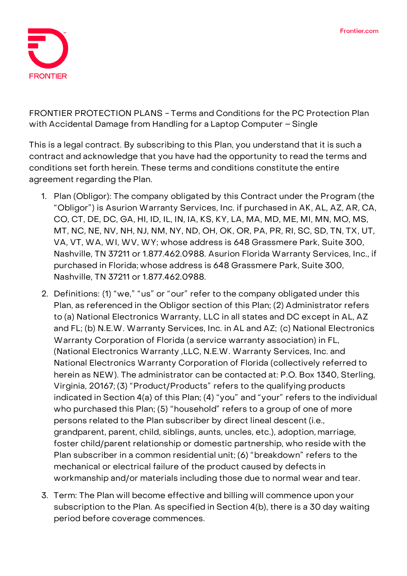

**FRONTIER PROTECTION PLANS - Terms and Conditions for the PC Protection Plan with Accidental Damage from Handling for a Laptop Computer – Single**

This is a legal contract. By subscribing to this Plan, you understand that it is such a contract and acknowledge that you have had the opportunity to read the terms and conditions set forth herein. These terms and conditions constitute the entire agreement regarding the Plan.

- 1. **Plan (Obligor):** The company obligated by this Contract under the Program (the "Obligor") is Asurion Warranty Services, Inc. if purchased in AK, AL, AZ, AR, CA, CO, CT, DE, DC, GA, HI, ID, IL, IN, IA, KS, KY, LA, MA, MD, ME, MI, MN, MO, MS, MT, NC, NE, NV, NH, NJ, NM, NY, ND, OH, OK, OR, PA, PR, RI, SC, SD, TN, TX, UT, VA, VT, WA, WI, WV, WY; whose address is 648 Grassmere Park, Suite 300, Nashville, TN 37211 or 1.877.462.0988. Asurion Florida Warranty Services, Inc., if purchased in Florida; whose address is 648 Grassmere Park, Suite 300, Nashville, TN 37211 or 1.877.462.0988.
- 2. **Definitions:** (1) "we," "us" or "our" refer to the company obligated under this Plan, as referenced in the Obligor section of this Plan; (2) Administrator refers to (a) National Electronics Warranty, LLC in all states and DC except in AL, AZ and FL; (b) N.E.W. Warranty Services, Inc. in AL and AZ; (c) National Electronics Warranty Corporation of Florida (a service warranty association) in FL, (National Electronics Warranty ,LLC, N.E.W. Warranty Services, Inc. and National Electronics Warranty Corporation of Florida (collectively referred to herein as NEW). The administrator can be contacted at: P.O. Box 1340, Sterling, Virginia, 20167; (3) "Product/Products" refers to the qualifying products indicated in Section 4(a) of this Plan; (4) "you" and "your" refers to the individual who purchased this Plan; (5) "household" refers to a group of one of more persons related to the Plan subscriber by direct lineal descent (i.e., grandparent, parent, child, siblings, aunts, uncles, etc.), adoption, marriage, foster child/parent relationship or domestic partnership, who reside with the Plan subscriber in a common residential unit; (6) "breakdown" refers to the mechanical or electrical failure of the product caused by defects in workmanship and/or materials including those due to normal wear and tear.
- 3. **Term:** The Plan will become effective and billing will commence upon your subscription to the Plan. As specified in Section 4(b), there is a 30 day waiting period before coverage commences.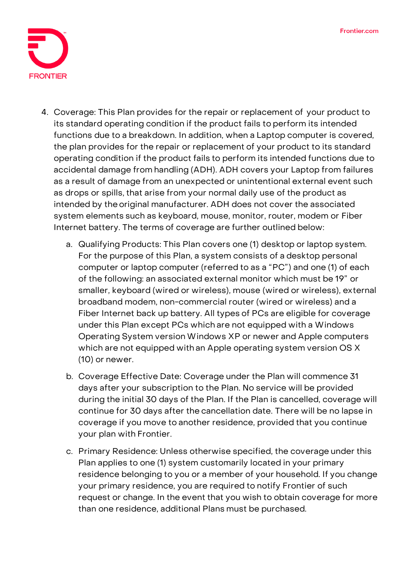

- 4. **Coverage:** This Plan provides for the repair or replacement of your product to its standard operating condition if the product fails to perform its intended functions due to a breakdown. In addition, when a Laptop computer is covered, the plan provides for the repair or replacement of your product to its standard operating condition if the product fails to perform its intended functions due to accidental damage from handling (ADH). ADH covers your Laptop from failures as a result of damage from an unexpected or unintentional external event such as drops or spills, that arise from your normal daily use of the product as intended by theoriginal manufacturer. ADH does not cover the associated system elements such as keyboard, mouse, monitor, router, modem or Fiber Internet battery. The terms of coverage are further outlined below:
	- a. Qualifying Products: This Plan covers one (1) desktop or laptop system. For the purpose of this Plan, a system consists of a desktop personal computer or laptop computer (referred to as a "PC") and one (1) of each of the following: an associated external monitor which must be 19" or smaller, keyboard (wired or wireless), mouse (wired or wireless), external broadband modem, non-commercial router (wired or wireless) and a Fiber Internet back up battery. All types of PCs are eligible for coverage under this Plan except PCs which are not equipped with a Windows Operating System version Windows XP or newer and Apple computers which are not equipped with an Apple operating system version OS X (10) or newer.
	- b. Coverage Effective Date: **Coverage under the Plan will commence 31 days after your subscription to the Plan. No service will be provided during the initial 30 days of the Plan. If the Plan is cancelled, coverage will continue for 30 days after the cancellation date.** There will be no lapse in coverage if you move to another residence, provided that you continue your plan with Frontier.
	- c. Primary Residence: Unless otherwise specified, the coverage under this Plan applies to one (1) system customarily located in your primary residence belonging to you or a member of your household. If you change your primary residence, you are required to notify Frontier of such request or change. In the event that you wish to obtain coverage for more than one residence, additional Plans must be purchased.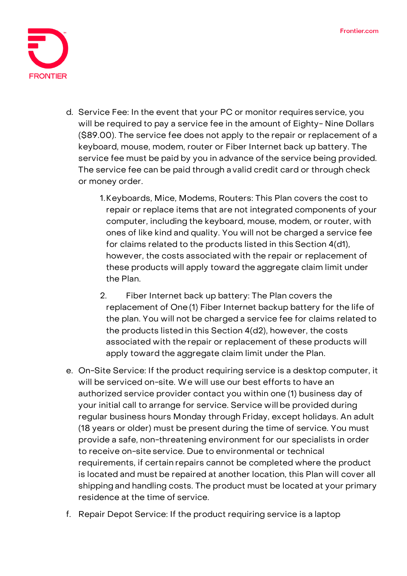

- d. Service Fee: **In the event that your PC or monitor requires service, you will be required to pay a service fee in the amount of Eighty- Nine Dollars (\$89.00).** The service fee does not apply to the repair or replacement of a keyboard, mouse, modem, router or Fiber Internet back up battery. The service fee must be paid by you in advance of the service being provided. The service fee can be paid through a valid credit card or through check or money order.
	- 1.Keyboards, Mice, Modems, Routers: This Plan covers the cost to repair or replace items that are not integrated components of your computer, including the keyboard, mouse, modem, or router, with ones of like kind and quality. You will not be charged a service fee for claims related to the products listed in this Section 4(d1), however, the costs associated with the repair or replacement of these products will apply toward the aggregate claim limit under the Plan.
	- 2. Fiber Internet back up battery: The Plan covers the replacement of One (1) Fiber Internet backup battery for the life of the plan. You will not be charged a service fee for claims related to the products listedin this Section 4(d2), however, the costs associated with the repair or replacement of these products will apply toward the aggregate claim limit under the Plan.
- e. On-Site Service: If the product requiring service is a desktop computer, it will be serviced on-site. We will use our best efforts to have an authorized service provider contact you within one (1) business day of your initial call to arrange for service. Service will be provided during regular business hours Monday through Friday, except holidays. An adult (18 years or older) must be present during the time of service. You must provide a safe, non-threatening environment for our specialists in order to receive on-site service. Due to environmental or technical requirements, if certain repairs cannot be completed where the product is located and must be repaired at another location, this Plan will cover all shipping and handling costs. The product must be located at your primary residence at the time of service.
- f. Repair Depot Service: If the product requiring service is a laptop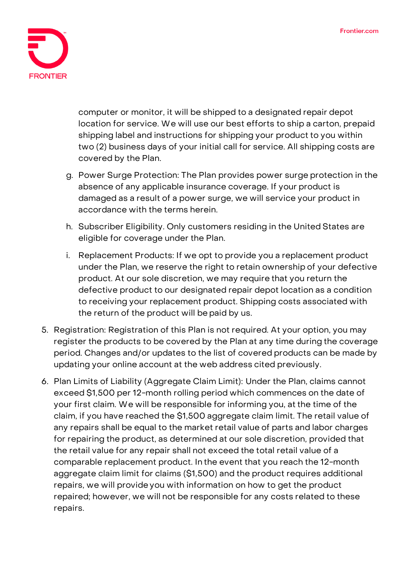

computer or monitor, it will be shipped to a designated repair depot location for service. We will use our best efforts to ship a carton, prepaid shipping label and instructions for shipping your product to you within two (2) business days of your initial call for service. All shipping costs are covered by the Plan.

- g. Power Surge Protection: The Plan provides power surge protection in the absence of any applicable insurance coverage. If your product is damaged as a result of a power surge, we will service your product in accordance with the terms herein.
- h. Subscriber Eligibility. Only customers residing in the United States are eligible for coverage under the Plan.
- i. Replacement Products: If we opt to provide you a replacement product under the Plan, we reserve the right to retain ownership of your defective product. At our sole discretion, we may require that you return the defective product to our designated repair depot location as a condition to receiving your replacement product. Shipping costs associated with the return of the product will be paid by us.
- 5. **Registration:** Registration of this Plan is not required. At your option, you may register the products to be covered by the Plan at any time during the coverage period. Changes and/or updates to the list of covered products can be made by updating your online account at the web address cited previously.
- 6. **Plan Limits of Liability (Aggregate Claim Limit):** Under the Plan, claims cannot exceed \$1,500 per 12-month rolling period which commences on the date of your first claim. We will be responsible for informing you, at the time of the claim, if you have reached the \$1,500 aggregate claim limit. The retail value of any repairs shall be equal to the market retail value of parts and labor charges for repairing the product, as determined at our sole discretion, provided that the retail value for any repair shall not exceed the total retail value of a comparable replacement product. In the event that you reach the 12-month aggregate claim limit for claims (\$1,500) and the product requires additional repairs, we will provide you with information on how to get the product repaired; however, we will not be responsible for any costs related to these repairs.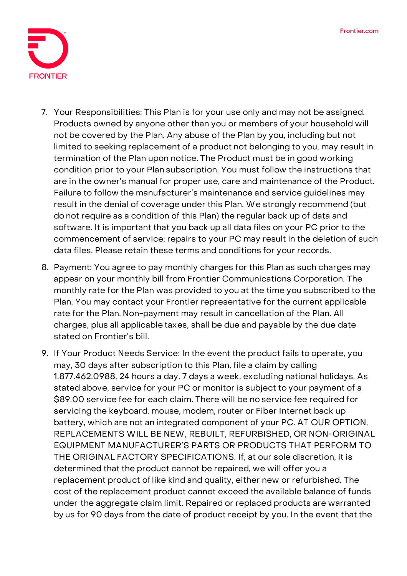

- 7. **Your Responsibilities:** This Plan is for your use only and may not be assigned. Products owned by anyone other than you or members of your household will not be covered by the Plan. Any abuse of the Plan by you, including but not limited to seeking replacement of a product not belonging to you, may result in termination of the Plan upon notice. The Product must be in good working condition prior to your Plan subscription. You must follow the instructions that are in the owner's manual for proper use, care and maintenance of the Product. Failure to follow the manufacturer's maintenance and service guidelines may result in the denial of coverage under this Plan. We strongly recommend (but do not require as a condition of this Plan) the regular back up of data and software. It is important that you back up all data files on your PC prior to the commencement of service; repairs to your PC may result in the deletion of such data files. Please retain these terms and conditions for your records.
- 8. **Payment:** You agree to pay monthly charges for this Plan as such charges may appear on your monthly bill from Frontier Communications Corporation. The monthly rate for the Plan was provided to you at the time you subscribed to the Plan. You may contact your Frontier representative for the current applicable rate for the Plan. Non-payment may result in cancellation of the Plan. All charges, plus all applicable taxes, shall be due and payable by the due date stated on Frontier's bill.
- 9. **If Your Product Needs Service:** In the event the product fails to operate, you may, 30 days after subscription to this Plan, file a claim by calling 1.877.462.0988, 24 hours a day, 7 days a week, excluding national holidays. As stated above, service for your PC or monitor is subject to your payment of a \$89.00 service fee for each claim. There will be no service fee required for servicing the keyboard, mouse, modem, router or Fiber Internet back up battery, which are not an integrated component of your PC. **AT OUR OPTION, REPLACEMENTS WILL BE NEW, REBUILT, REFURBISHED, OR NON-**ORIGINAL EQUIPMENT MANUFACTURER'S PARTS OR PRODUCTS THAT PERFORM TO THE ORIGINAL FACTORY **SPECIFICATIONS.** If, at our sole discretion, it is determined that the product cannot be repaired, we will offer you a replacement product of like kind and quality, either new or refurbished. The cost of the replacement product cannot exceed the available balance of funds under the aggregate claim limit. Repaired or replaced products are warranted by us for 90 days from the date of product receipt by you. In the event that the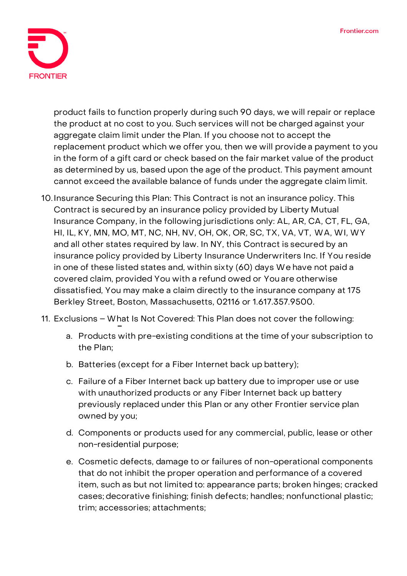

product fails to function properly during such 90 days, we will repair or replace the product at no cost to you. Such services will not be charged against your aggregate claim limit under the Plan. If you choose not to accept the replacement product which we offer you, then we will provide a payment to you in the form of a gift card or check based on the fair market value of the product as determined by us, based upon the age of the product. This payment amount cannot exceed the available balance of funds under the aggregate claim limit.

- 10.**Insurance Securing this Plan:** This Contract is not an insurance policy. This Contract is secured by an insurance policy provided by Liberty Mutual Insurance Company, in the following jurisdictions only: AL, AR, CA, CT, FL, GA, HI, IL, KY, MN, MO, MT, NC, NH, NV, OH, OK, OR, SC, TX, VA, VT, WA, WI, WY and all other states required by law. In NY, this Contract is secured by an insurance policy provided by Liberty Insurance Underwriters Inc. If You reside in one of these listed states and, within sixty (60) days We have not paid a covered claim, provided You with a refund owed or You are otherwise dissatisfied, You may make a claim directly to the insurance company at 175 Berkley Street, Boston, Massachusetts, 02116 or 1.617.357.9500.
- 11. **Exclusions – What Is Not Covered:** This Plan does not cover the following:
	- a. Products with pre-existing conditions at the time of your subscription to the Plan;
	- b. Batteries (except for a Fiber Internet back up battery);
	- c. Failure of a Fiber Internet back up battery due to improper use or use with unauthorized products or any Fiber Internet back up battery previously replaced under this Plan or any other Frontier service plan owned by you;
	- d. Components or products used for any commercial, public, lease or other non-residential purpose;
	- e. Cosmetic defects, damage to or failures of non-operational components that do not inhibit the proper operation and performance of a covered item, such as but not limited to: appearance parts; broken hinges; cracked cases; decorative finishing; finish defects; handles; nonfunctional plastic; trim; accessories; attachments;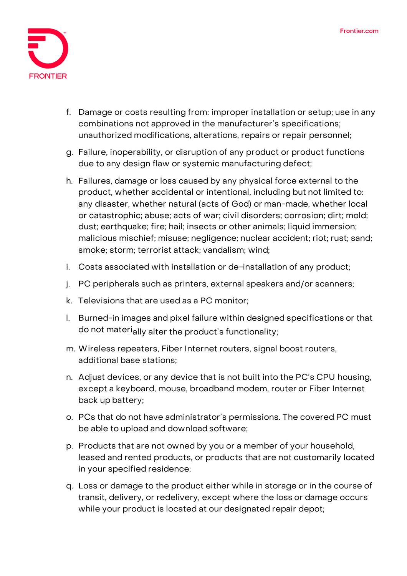

- f. Damage or costs resulting from: improper installation or setup; use in any combinations not approved in the manufacturer's specifications; unauthorized modifications, alterations, repairs or repair personnel;
- g. Failure, inoperability, or disruption of any product or product functions due to any design flaw or systemic manufacturing defect;
- h. Failures, damage or loss caused by any physical force external to the product, whether accidental or intentional, including but not limited to: any disaster, whether natural (acts of God) or man-made, whether local or catastrophic; abuse; acts of war; civil disorders; corrosion; dirt; mold; dust; earthquake; fire; hail; insects or other animals; liquid immersion; malicious mischief; misuse; negligence; nuclear accident; riot; rust; sand; smoke; storm; terrorist attack; vandalism; wind;
- i. Costs associated with installation or de-installation of any product;
- j. PC peripherals such as printers, external speakers and/or scanners;
- k. Televisions that are used as a PC monitor;
- l. Burned-in images and pixel failure within designed specifications or that do not materially alter the product's functionality;
- m. Wireless repeaters, Fiber Internet routers, signal boost routers, additional base stations;
- n. Adjust devices, or any device that is not built into the PC's CPU housing, except a keyboard, mouse, broadband modem, router or Fiber Internet back up battery;
- o. PCs that do not have administrator's permissions. The covered PC must be able to upload and download software;
- p. Products that are not owned by you or a member of your household, leased and rented products, or products that are not customarily located in your specified residence;
- q. Loss or damage to the product either while in storage or in the course of transit, delivery, or redelivery, except where the loss or damage occurs while your product is located at our designated repair depot;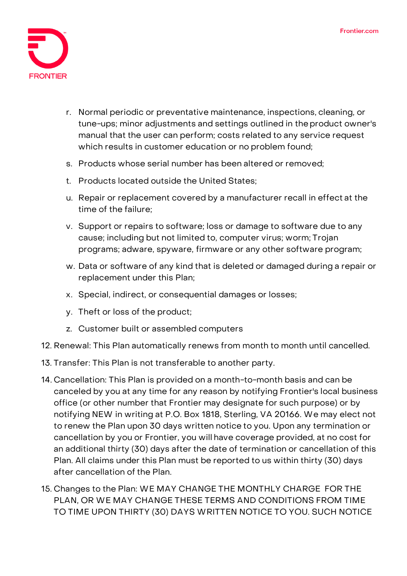

- r. Normal periodic or preventative maintenance, inspections, cleaning, or tune-ups; minor adjustments and settings outlined in theproduct owner's manual that the user can perform; costs related to any service request which results in customer education or no problem found;
- s. Products whose serial number has been altered or removed;
- t. Products located outside the United States;
- u. Repair or replacement covered by a manufacturer recall in effect at the time of the failure;
- v. Support or repairs to software; loss or damage to software due to any cause; including but not limited to, computer virus; worm; Trojan programs; adware, spyware, firmware or any other software program;
- w. Data or software of any kind that is deleted or damaged during a repair or replacement under this Plan;
- x. Special, indirect, or consequential damages or losses;
- y. Theft or loss of the product;
- z. Customer built or assembled computers
- 12. **Renewal:** This Plan automatically renews from month to month until cancelled.
- 13. **Transfer:** This Plan is not transferable to another party.
- 14. **Cancellation:** This Plan is provided on a month-to-month basis and can be canceled by you at any time for any reason by notifying Frontier's local business office (or other number that Frontier may designate for such purpose) or by notifying NEW in writing at P.O. Box 1818, Sterling, VA 20166. We may elect not to renew the Plan upon 30 days written notice to you. Upon any termination or cancellation by you or Frontier, you will have coverage provided, at no cost for an additional thirty (30) days after the date of termination or cancellation of this Plan. All claims under this Plan must be reported to us within thirty (30) days after cancellation of the Plan.
- 15. **Changes to the Plan:** WE MAY CHANGE THE MONTHLY CHARGE FOR THE PLAN, OR WE MAY CHANGE THESE TERMS AND CONDITIONS FROM TIME TO TIME UPON THIRTY (30) DAYS WRITTEN NOTICE TO YOU. SUCH NOTICE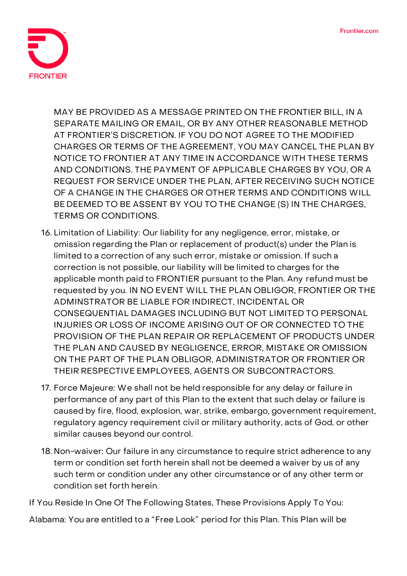

MAY BE PROVIDED AS A MESSAGE PRINTED ON THE FRONTIER BILL, IN A SEPARATE MAILING OR EMAIL, OR BY ANY OTHER REASONABLE METHOD AT FRONTIER'S DISCRETION. IF YOU DO NOT AGREE TO THE MODIFIED CHARGES OR TERMS OF THE AGREEMENT, YOU MAY CANCEL THE PLAN BY NOTICE TO FRONTIER AT ANY TIME IN ACCORDANCE WITH THESE TERMS AND CONDITIONS. THE PAYMENT OF APPLICABLE CHARGES BY YOU, OR A REQUEST FOR SERVICE UNDER THE PLAN, AFTER RECEIVING SUCH NOTICE OF A CHANGE IN THE CHARGES OR OTHER TERMS AND CONDITIONS WILL BE DEEMED TO BE ASSENT BY YOU TO THE CHANGE (S) IN THE CHARGES, TERMS OR CONDITIONS.

- 16. **Limitation of Liability:** Our liability for any negligence, error, mistake, or omission regarding the Plan or replacement of product(s) under the Plan is limited to a correction of any such error, mistake or omission. If such a correction is not possible, our liability will be limited to charges for the applicable month paid to FRONTIER pursuant to the Plan. Any refund must be requested by you. IN NO EVENT WILL THE PLAN OBLIGOR, FRONTIER OR THE ADMINSTRATOR BE LIABLE FOR INDIRECT, INCIDENTAL OR CONSEQUENTIAL DAMAGES INCLUDING BUT NOT LIMITED TO PERSONAL INJURIES OR LOSS OF INCOME ARISING OUT OF OR CONNECTED TO THE PROVISION OF THE PLAN REPAIR OR REPLACEMENT OF PRODUCTS UNDER THE PLAN AND CAUSED BY NEGLIGENCE, ERROR, MISTAKE OR OMISSION ON THE PART OF THE PLAN OBLIGOR, ADMINISTRATOR OR FRONTIER OR THEIR RESPECTIVE EMPLOYEES, AGENTS OR SUBCONTRACTORS.
- 17. **Force Majeure:** We shall not be held responsible for any delay or failure in performance of any part of this Plan to the extent that such delay or failure is caused by fire, flood, explosion, war, strike, embargo, government requirement, regulatory agency requirement civil or military authority, acts of God, or other similar causes beyond our control.
- 18. **Non-waiver:** Our failure in any circumstance to require strict adherence to any term or condition set forth herein shall not be deemed a waiver by us of any such term or condition under any other circumstance or of any other term or condition set forth herein.

**If You Reside In One Of The Following States, These Provisions Apply To You:**

**Alabama:** You are entitled to a "Free Look" period for this Plan. This Plan will be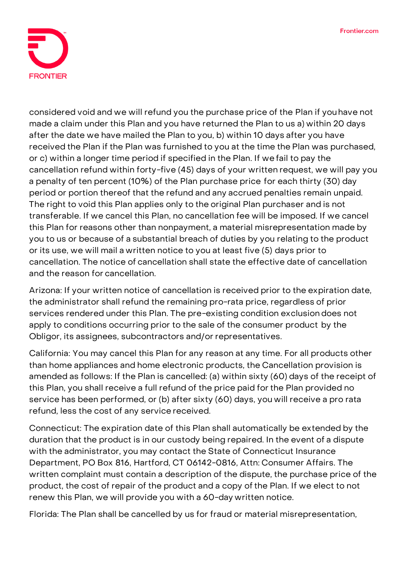

considered void and we will refund you the purchase price of the Plan if youhave not made a claim under this Plan and you have returned the Plan to us a) within 20 days after the date we have mailed the Plan to you, b) within 10 days after you have received the Plan if the Plan was furnished to you at the time the Plan was purchased, or c) within a longer time period if specified in the Plan. If we fail to pay the cancellation refund within forty-five (45) days of your written request, we will pay you a penalty of ten percent (10%) of the Plan purchase price for each thirty (30) day period or portion thereof that the refund and any accrued penalties remain unpaid. The right to void this Plan applies only to the original Plan purchaser and is not transferable. If we cancel this Plan, no cancellation fee will be imposed. If we cancel this Plan for reasons other than nonpayment, a material misrepresentation made by you to us or because of a substantial breach of duties by you relating to the product or its use, we will mail a written notice to you at least five (5) days prior to cancellation. The notice of cancellation shall state the effective date of cancellation and the reason for cancellation.

**Arizona:** If your written notice of cancellation is received prior to the expiration date, the administrator shall refund the remaining pro-rata price, regardless of prior services rendered under this Plan. The pre-existing condition exclusion does not apply to conditions occurring prior to the sale of the consumer product by the Obligor, its assignees, subcontractors and/or representatives.

**California:** You may cancel this Plan for any reason at any time. For all products other than home appliances and home electronic products, the Cancellation provision is amended as follows: If the Plan is cancelled: (a) within sixty (60) days of the receipt of this Plan, you shall receive a full refund of the price paid for the Plan provided no service has been performed, or (b) after sixty (60) days, you will receive a pro rata refund, less the cost of any service received.

**Connecticut:** The expiration date of this Plan shall automatically be extended by the duration that the product is in our custody being repaired. In the event of a dispute with the administrator, you may contact the State of Connecticut Insurance Department, PO Box 816, Hartford, CT 06142-0816, Attn: Consumer Affairs. The written complaint must contain a description of the dispute, the purchase price of the product, the cost of repair of the product and a copy of the Plan. If we elect to not renew this Plan, we will provide you with a 60-day written notice.

**Florida:** The Plan shall be cancelled by us for fraud or material misrepresentation,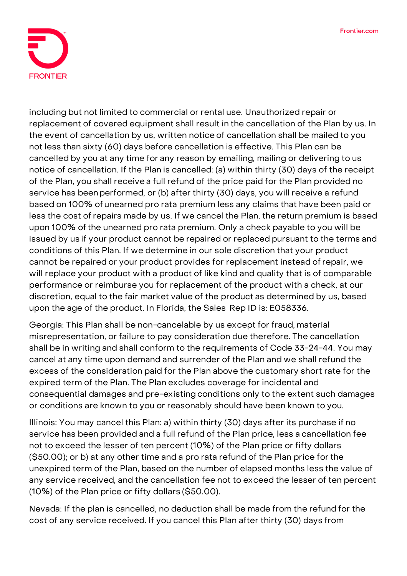

including but not limited to commercial or rental use. Unauthorized repair or replacement of covered equipment shall result in the cancellation of the Plan by us. In the event of cancellation by us, written notice of cancellation shall be mailed to you not less than sixty (60) days before cancellation is effective. This Plan can be cancelled by you at any time for any reason by emailing, mailing or delivering to us notice of cancellation. If the Plan is cancelled: (a) within thirty (30) days of the receipt of the Plan, you shall receive a full refund of the price paid for the Plan provided no service has beenperformed, or (b) after thirty (30) days, you will receive a refund based on 100% of unearned pro rata premium less any claims that have been paid or less the cost ofrepairs made by us. If we cancel the Plan, the return premium is based upon 100% ofthe unearned pro rata premium. Only a check payable to you will be issued by us if your product cannot be repaired or replaced pursuant to the terms and conditions of this Plan. If we determine in our sole discretion that your product cannot be repaired or your product provides for replacement instead ofrepair, we will replace your product with a product of like kind and quality that is of comparable performance or reimburse you for replacement of the product with a check, at our discretion, equal to the fair market value of the product as determined by us, based upon the age of the product. In Florida, the Sales Rep ID is: E058336.

**Georgia:** This Plan shall be non-cancelable by us except for fraud, material misrepresentation, or failure to pay consideration due therefore. The cancellation shall be in writing and shall conform to the requirements of Code 33-24-44. You may cancel at any time upon demand and surrender of the Plan and we shall refund the excess of the consideration paid for the Plan above the customary short rate for the expired term of the Plan. The Plan excludes coverage for incidental and consequential damages and pre-existing conditions only to the extent such damages or conditions are known to you or reasonably should have been known to you.

**Illinois:** You may cancel this Plan: a) within thirty (30) days after its purchase if no service has been provided and a full refund of the Plan price, less a cancellation fee not to exceed the lesser of ten percent (10%) of the Plan price or fifty dollars (\$50.00); or b) at any other time and a pro rata refund of the Plan price for the unexpired term of the Plan, based on the number of elapsed months less the value of any service received, and the cancellation fee not to exceed the lesser of ten percent (10%) of the Plan price or fifty dollars (\$50.00).

**Nevada:** If the plan is cancelled, no deduction shall be made from the refund for the cost of any service received. If you cancel this Plan after thirty (30) days from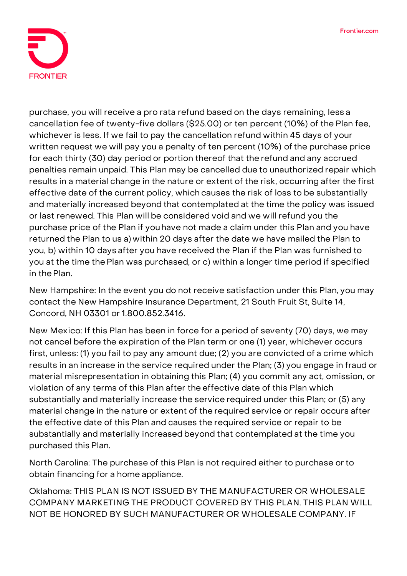

purchase, you will receive a pro rata refund based on the days remaining, less a cancellation fee of twenty-five dollars (\$25.00) or ten percent (10%) of the Plan fee, whichever is less. If we fail to pay the cancellation refund within 45 days of your written request we will pay you a penalty of ten percent (10%) of the purchase price for each thirty (30) day period or portion thereof that the refund and any accrued penalties remain unpaid. This Plan may be cancelled due to unauthorized repair which results in a material change in the nature or extent of the risk, occurring after the first effective date of the current policy, which causes the risk of loss to be substantially and materially increased beyond that contemplated at the time the policy was issued or last renewed. This Plan will be considered void and we will refund you the purchase price of the Plan if youhave not made a claim under this Plan and you have returned the Plan to us a) within 20 days after the date we have mailed the Plan to you, b) within 10 days after you have received the Plan if the Plan was furnished to you at the time thePlan was purchased, or c) within a longer time period if specified in the Plan.

**New Hampshire:** In the event you do not receive satisfaction under this Plan, you may contact the New Hampshire Insurance Department, 21 South Fruit St, Suite 14, Concord, NH 03301 or 1.800.852.3416.

**New Mexico:** If this Plan has been in force for a period of seventy (70) days, we may not cancel before the expiration of the Plan term or one (1) year, whichever occurs first, unless: (1) you fail to pay any amount due; (2) you are convicted of a crime which results in an increase in the service required under the Plan; (3) you engage in fraud or material misrepresentation in obtaining this Plan; (4) you commit any act, omission, or violation of any terms of this Plan after the effective date of this Plan which substantially and materially increase the service required under this Plan; or (5) any material change in the nature or extent of the required service or repair occurs after the effective date of this Plan and causes the required service or repair to be substantially and materially increased beyond that contemplated at the time you purchased this Plan.

**North Carolina:** The purchase of this Plan is not required either to purchase or to obtain financing for a home appliance.

**Oklahoma:** THIS PLAN IS NOT ISSUED BY THE MANUFACTURER OR WHOLESALE COMPANY MARKETING THE PRODUCT COVERED BY THIS PLAN. THIS PLAN WILL NOT BE HONORED BY SUCH MANUFACTURER OR WHOLESALE COMPANY. IF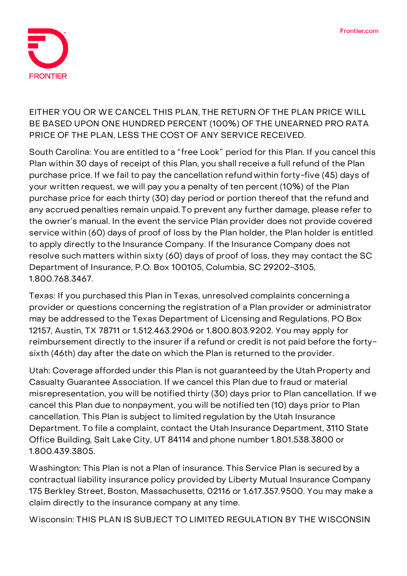

## EITHER YOU OR WE CANCEL THIS PLAN, THE RETURN OF THE PLAN PRICE WILL BE BASED UPON ONE HUNDRED PERCENT (100%) OF THE UNEARNED PRO RATA PRICE OF THE PLAN, LESS THE COST OF ANY SERVICE RECEIVED.

**South Carolina:** You are entitled to a "free Look" period for this Plan. If you cancel this Plan within 30 days of receipt of this Plan, you shall receive a full refund of the Plan purchase price. If we fail to pay the cancellation refund within forty-five (45) days of your written request, we will pay you a penalty of ten percent (10%) of the Plan purchase price for each thirty (30) day period or portion thereof that the refund and any accrued penalties remain unpaid. To prevent any further damage, please refer to the owner's manual. In the event the service Plan provider does not provide covered service within (60) days of proof of loss by the Plan holder, the Plan holder is entitled to apply directly tothe Insurance Company. If the Insurance Company does not resolve such matters within sixty (60) days of proof of loss, they may contact the SC Department of Insurance, P.O. Box 100105, Columbia, SC 29202-3105, 1.800.768.3467.

**Texas:** If you purchased this Plan in Texas, unresolved complaints concerning a provider or questions concerning the registration of a Plan provider or administrator may be addressed to the Texas Department of Licensing and Regulations, PO Box 12157, Austin, TX 78711 or 1.512.463.2906 or 1.800.803.9202. You may apply for reimbursement directly to the insurer if a refund or credit is not paid before the fortysixth (46th) day after the date on which the Plan is returned to the provider.

**Utah:** Coverage afforded under this Plan is not guaranteed by the Utah Property and Casualty Guarantee Association. If we cancel this Plan due to fraud or material misrepresentation, you will be notified thirty (30) days prior to Plan cancellation. If we cancel this Plan due to nonpayment, you will be notified ten (10) days prior to Plan cancellation. This Plan is subject to limited regulation by the Utah Insurance Department. To file a complaint, contact the Utah Insurance Department, 3110 State Office Building, Salt Lake City, UT 84114 and phone number 1.801.538.3800 or 1.800.439.3805.

**Washington:** This Plan is not a Plan of insurance. This Service Plan is secured by a contractual liability insurance policy provided by Liberty Mutual Insurance Company 175 Berkley Street, Boston, Massachusetts, 02116 or 1.617.357.9500. You may make a claim directly to the insurance company at any time.

**Wisconsin: THIS PLAN IS SUBJECT TO LIMITED REGULATION BY THE WISCONSIN**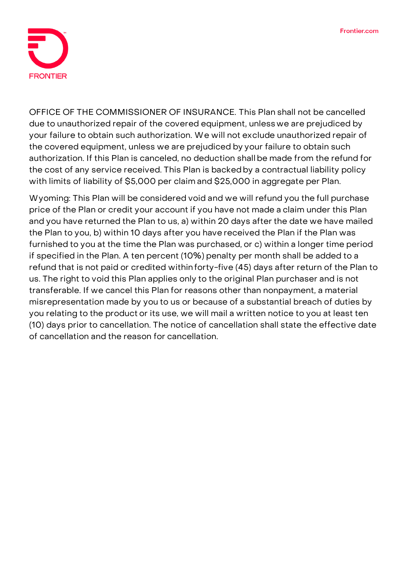

**OFFICE OF THE COMMISSIONER OF INSURANCE.** This Plan shall not be cancelled due to unauthorized repair of the covered equipment, unless we are prejudiced by your failure to obtain such authorization. We will not exclude unauthorized repair of the covered equipment, unless we are prejudiced by your failure to obtain such authorization. If this Plan is canceled, no deduction shall be made from the refund for the cost of any service received. This Plan is backedby a contractual liability policy with limits of liability of \$5,000 per claim and \$25,000 in aggregate per Plan.

**Wyoming:** This Plan will be considered void and we will refund you the full purchase price of the Plan or credit your account if you have not made a claim under this Plan and you have returned the Plan to us, a) within 20 days after the date we have mailed the Plan to you, b) within 10 days after you have received the Plan if the Plan was furnished to you at the time the Plan was purchased, or c) within a longer time period if specified in the Plan. A ten percent (10%) penalty per month shall be added to a refund that is not paid or credited withinforty-five (45) days after return of the Plan to us. The right to void this Plan applies only to the original Plan purchaser and is not transferable. If we cancel this Plan for reasons other than nonpayment, a material misrepresentation made by you to us or because of a substantial breach of duties by you relating to the product or its use, we will mail a written notice to you at least ten (10) days prior to cancellation. The notice of cancellation shall state the effective date of cancellation and the reason for cancellation.